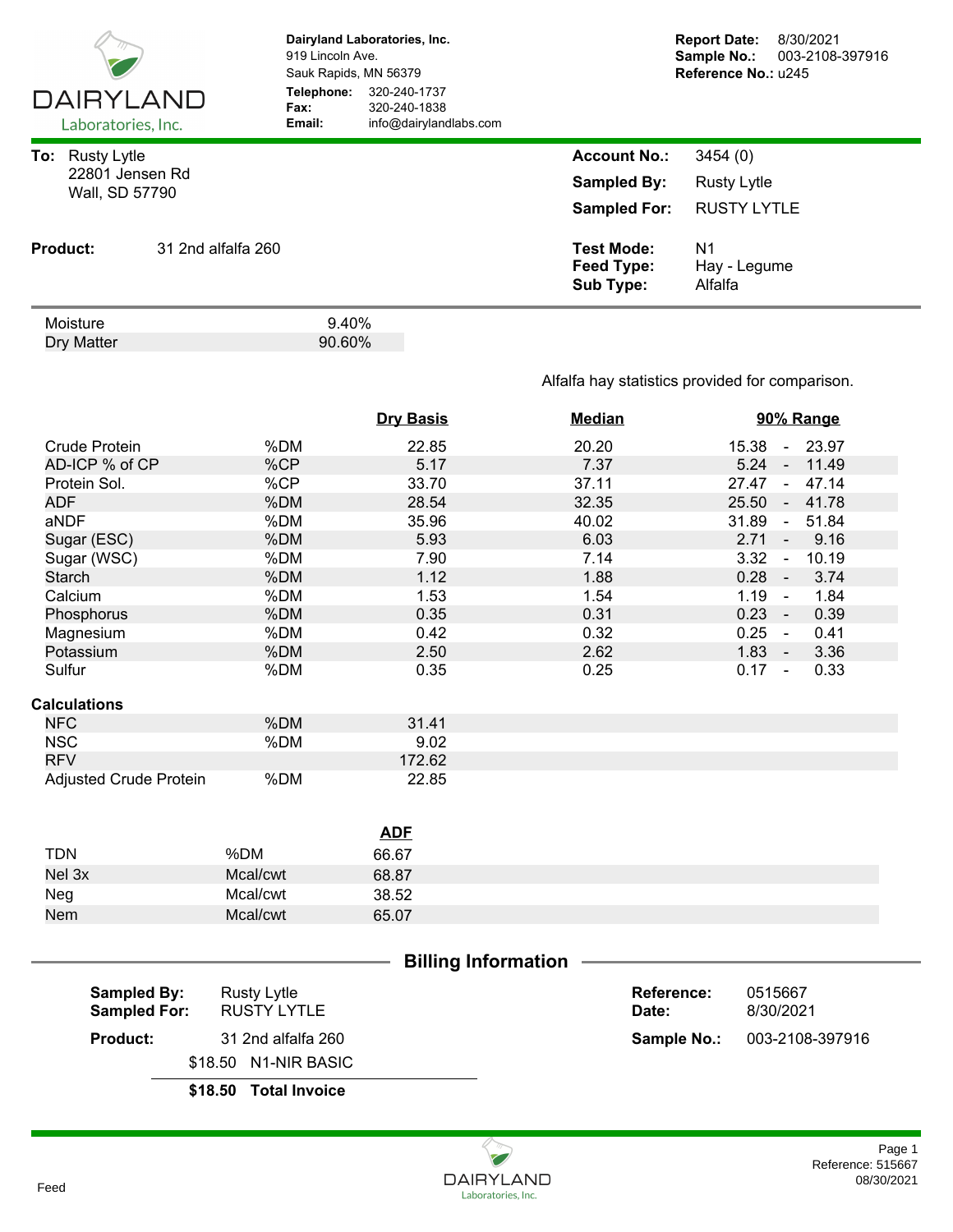| <b>DAIRYLAND</b><br>Laboratories, Inc.                         |                    | 919 Lincoln Ave.<br>Sauk Rapids, MN 56379<br>Telephone:<br>Fax:<br>Email: | Dairyland Laboratories, Inc.<br>320-240-1737<br>320-240-1838<br>info@dairylandlabs.com |                                                                  | <b>Report Date:</b><br>Sample No.:<br>Reference No.: u245 | 8/30/2021<br>003-2108-397916 |
|----------------------------------------------------------------|--------------------|---------------------------------------------------------------------------|----------------------------------------------------------------------------------------|------------------------------------------------------------------|-----------------------------------------------------------|------------------------------|
| <b>Rusty Lytle</b><br>To:<br>22801 Jensen Rd<br>Wall, SD 57790 |                    |                                                                           |                                                                                        | <b>Account No.:</b><br><b>Sampled By:</b><br><b>Sampled For:</b> | 3454(0)<br><b>Rusty Lytle</b><br><b>RUSTY LYTLE</b>       |                              |
| <b>Product:</b>                                                | 31 2nd alfalfa 260 |                                                                           |                                                                                        | <b>Test Mode:</b><br>Feed Type:<br><b>Sub Type:</b>              | N <sub>1</sub><br>Hay - Legume<br>Alfalfa                 |                              |
| Moisture<br>Dry Matter                                         |                    | 9.40%<br>90.60%                                                           |                                                                                        |                                                                  |                                                           |                              |

## Alfalfa hay statistics provided for comparison.

|                        |          | <b>Dry Basis</b> | <b>Median</b> | 90% Range                      |
|------------------------|----------|------------------|---------------|--------------------------------|
| Crude Protein          | %DM      | 22.85            | 20.20         | 15.38 - 23.97                  |
| AD-ICP % of CP         | %CP      | 5.17             | 7.37          | $5.24 -$<br>11.49              |
| Protein Sol.           | %CP      | 33.70            | 37.11         | $27.47 -$<br>47.14             |
| <b>ADF</b>             | %DM      | 28.54            | 32.35         | 25.50 - 41.78                  |
| aNDF                   | %DM      | 35.96            | 40.02         | 31.89<br>51.84<br>$\sim$       |
| Sugar (ESC)            | %DM      | 5.93             | 6.03          | 2.71<br>9.16<br>$\blacksquare$ |
| Sugar (WSC)            | %DM      | 7.90             | 7.14          | 10.19<br>3.32<br>$\omega$      |
| Starch                 | %DM      | 1.12             | 1.88          | $0.28 -$<br>3.74               |
| Calcium                | %DM      | 1.53             | 1.54          | $1.19 -$<br>1.84               |
| Phosphorus             | %DM      | 0.35             | 0.31          | $0.23 -$<br>0.39               |
| Magnesium              | %DM      | 0.42             | 0.32          | $0.25 -$<br>0.41               |
| Potassium              | %DM      | 2.50             | 2.62          | $1.83 -$<br>3.36               |
| Sulfur                 | %DM      | 0.35             | 0.25          | $0.17 -$<br>0.33               |
| <b>Calculations</b>    |          |                  |               |                                |
| <b>NFC</b>             | %DM      | 31.41            |               |                                |
| <b>NSC</b>             | %DM      | 9.02             |               |                                |
| <b>RFV</b>             |          | 172.62           |               |                                |
| Adjusted Crude Protein | %DM      | 22.85            |               |                                |
|                        |          |                  |               |                                |
|                        |          | <b>ADF</b>       |               |                                |
| <b>TDN</b>             | %DM      | 66.67            |               |                                |
| Nel 3x                 | Mcal/cwt | 68.87            |               |                                |
| Neg                    | Mcal/cwt | 38.52            |               |                                |
| Nem                    | Mcal/cwt | 65.07            |               |                                |
|                        |          |                  |               |                                |

|                     |                      | <b>Billing Information</b> |             |                 |  |
|---------------------|----------------------|----------------------------|-------------|-----------------|--|
| <b>Sampled By:</b>  | <b>Rusty Lytle</b>   |                            | Reference:  | 0515667         |  |
| <b>Sampled For:</b> | <b>RUSTY LYTLE</b>   |                            | Date:       | 8/30/2021       |  |
| <b>Product:</b>     | 31 2nd alfalfa 260   |                            | Sample No.: | 003-2108-397916 |  |
|                     | \$18.50 N1-NIR BASIC |                            |             |                 |  |
|                     |                      |                            |             |                 |  |

**\$18.50 Total Invoice**

## Reference: 515667<br>08/30/2021 Page 1